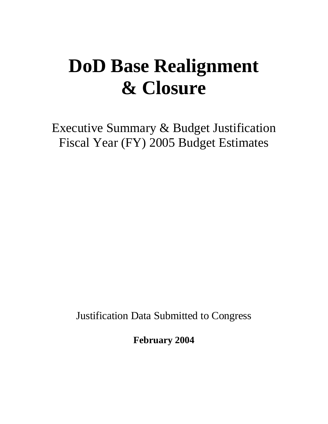# **DoD Base Realignment & Closure**

Executive Summary & Budget Justification Fiscal Year (FY) 2005 Budget Estimates

Justification Data Submitted to Congress

**February 2004**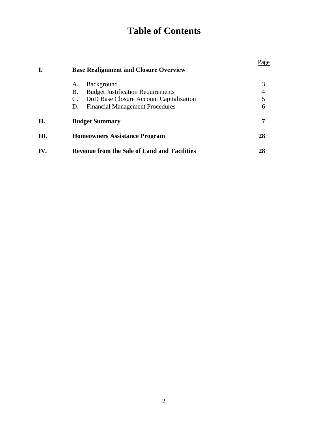# **Table of Contents**

| I.   | <b>Base Realignment and Closure Overview</b>              | Page |
|------|-----------------------------------------------------------|------|
|      | <b>Background</b><br>A.                                   | 3    |
|      | <b>Budget Justification Requirements</b><br>В.            |      |
|      | DoD Base Closure Account Capitalization<br>$\mathbf{C}$ . | 5    |
|      | <b>Financial Management Procedures</b><br>D.              | 6    |
| П.   | <b>Budget Summary</b>                                     | 7    |
| III. | <b>Homeowners Assistance Program</b>                      | 28   |
| IV.  | <b>Revenue from the Sale of Land and Facilities</b>       | 28   |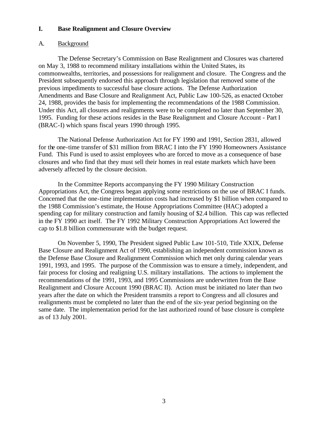#### **I. Base Realignment and Closure Overview**

#### A. Background

The Defense Secretary's Commission on Base Realignment and Closures was chartered on May 3, 1988 to recommend military installations within the United States, its commonwealths, territories, and possessions for realignment and closure. The Congress and the President subsequently endorsed this approach through legislation that removed some of the previous impediments to successful base closure actions. The Defense Authorization Amendments and Base Closure and Realignment Act, Public Law 100-526, as enacted October 24, 1988, provides the basis for implementing the recommendations of the 1988 Commission. Under this Act, all closures and realignments were to be completed no later than September 30, 1995. Funding for these actions resides in the Base Realignment and Closure Account - Part I (BRAC-I) which spans fiscal years 1990 through 1995.

The National Defense Authorization Act for FY 1990 and 1991, Section 2831, allowed for the one-time transfer of \$31 million from BRAC I into the FY 1990 Homeowners Assistance Fund. This Fund is used to assist employees who are forced to move as a consequence of base closures and who find that they must sell their homes in real estate markets which have been adversely affected by the closure decision.

In the Committee Reports accompanying the FY 1990 Military Construction Appropriations Act, the Congress began applying some restrictions on the use of BRAC I funds. Concerned that the one-time implementation costs had increased by \$1 billion when compared to the 1988 Commission's estimate, the House Appropriations Committee (HAC) adopted a spending cap for military construction and family housing of \$2.4 billion. This cap was reflected in the FY 1990 act itself. The FY 1992 Military Construction Appropriations Act lowered the cap to \$1.8 billion commensurate with the budget request.

On November 5, 1990, The President signed Public Law 101-510, Title XXIX, Defense Base Closure and Realignment Act of 1990, establishing an independent commission known as the Defense Base Closure and Realignment Commission which met only during calendar years 1991, 1993, and 1995. The purpose of the Commission was to ensure a timely, independent, and fair process for closing and realigning U.S. military installations. The actions to implement the recommendations of the 1991, 1993, and 1995 Commissions are underwritten from the Base Realignment and Closure Account 1990 (BRAC II). Action must be initiated no later than two years after the date on which the President transmits a report to Congress and all closures and realignments must be completed no later than the end of the six-year period beginning on the same date. The implementation period for the last authorized round of base closure is complete as of 13 July 2001.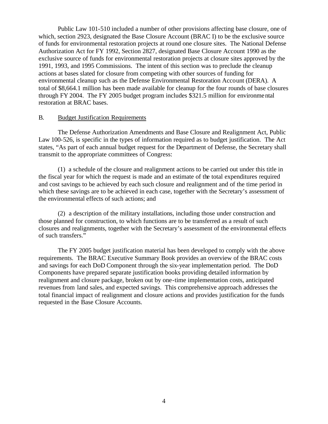Public Law 101-510 included a number of other provisions affecting base closure, one of which, section 2923, designated the Base Closure Account (BRAC I) to be the exclusive source of funds for environmental restoration projects at round one closure sites. The National Defense Authorization Act for FY 1992, Section 2827, designated Base Closure Account 1990 as the exclusive source of funds for environmental restoration projects at closure sites approved by the 1991, 1993, and 1995 Commissions. The intent of this section was to preclude the cleanup actions at bases slated for closure from competing with other sources of funding for environmental cleanup such as the Defense Environmental Restoration Account (DERA). A total of \$8,664.1 million has been made available for cleanup for the four rounds of base closures through FY 2004. The FY 2005 budget program includes \$321.5 million for environmental restoration at BRAC bases.

#### B. Budget Justification Requirements

The Defense Authorization Amendments and Base Closure and Realignment Act, Public Law 100-526, is specific in the types of information required as to budget justification. The Act states, "As part of each annual budget request for the Department of Defense, the Secretary shall transmit to the appropriate committees of Congress:

(1) a schedule of the closure and realignment actions to be carried out under this title in the fiscal year for which the request is made and an estimate of the total expenditures required and cost savings to be achieved by each such closure and realignment and of the time period in which these savings are to be achieved in each case, together with the Secretary's assessment of the environmental effects of such actions; and

(2) a description of the military installations, including those under construction and those planned for construction, to which functions are to be transferred as a result of such closures and realignments, together with the Secretary's assessment of the environmental effects of such transfers."

The FY 2005 budget justification material has been developed to comply with the above requirements. The BRAC Executive Summary Book provides an overview of the BRAC costs and savings for each DoD Component through the six-year implementation period. The DoD Components have prepared separate justification books providing detailed information by realignment and closure package, broken out by one-time implementation costs, anticipated revenues from land sales, and expected savings. This comprehensive approach addresses the total financial impact of realignment and closure actions and provides justification for the funds requested in the Base Closure Accounts.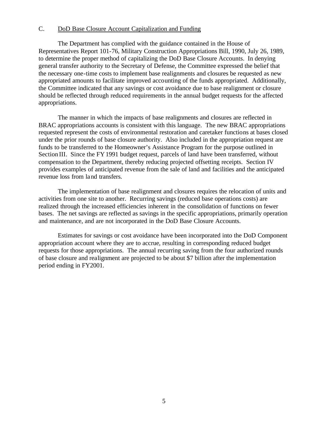#### C. DoD Base Closure Account Capitalization and Funding

The Department has complied with the guidance contained in the House of Representatives Report 101-76, Military Construction Appropriations Bill, 1990, July 26, 1989, to determine the proper method of capitalizing the DoD Base Closure Accounts. In denying general transfer authority to the Secretary of Defense, the Committee expressed the belief that the necessary one-time costs to implement base realignments and closures be requested as new appropriated amounts to facilitate improved accounting of the funds appropriated. Additionally, the Committee indicated that any savings or cost avoidance due to base realignment or closure should be reflected through reduced requirements in the annual budget requests for the affected appropriations.

The manner in which the impacts of base realignments and closures are reflected in BRAC appropriations accounts is consistent with this language. The new BRAC appropriations requested represent the costs of environmental restoration and caretaker functions at bases closed under the prior rounds of base closure authority. Also included in the appropriation request are funds to be transferred to the Homeowner's Assistance Program for the purpose outlined in Section III. Since the FY1991 budget request, parcels of land have been transferred, without compensation to the Department, thereby reducing projected offsetting receipts. Section IV provides examples of anticipated revenue from the sale of land and facilities and the anticipated revenue loss from land transfers.

The implementation of base realignment and closures requires the relocation of units and activities from one site to another. Recurring savings (reduced base operations costs) are realized through the increased efficiencies inherent in the consolidation of functions on fewer bases. The net savings are reflected as savings in the specific appropriations, primarily operation and maintenance, and are not incorporated in the DoD Base Closure Accounts.

Estimates for savings or cost avoidance have been incorporated into the DoD Component appropriation account where they are to accrue, resulting in corresponding reduced budget requests for those appropriations. The annual recurring saving from the four authorized rounds of base closure and realignment are projected to be about \$7 billion after the implementation period ending in FY2001.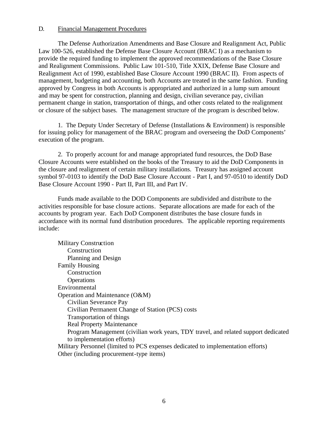#### D. Financial Management Procedures

The Defense Authorization Amendments and Base Closure and Realignment Act, Public Law 100-526, established the Defense Base Closure Account (BRAC I) as a mechanism to provide the required funding to implement the approved recommendations of the Base Closure and Realignment Commissions. Public Law 101-510, Title XXIX, Defense Base Closure and Realignment Act of 1990, established Base Closure Account 1990 (BRAC II). From aspects of management, budgeting and accounting, both Accounts are treated in the same fashion. Funding approved by Congress in both Accounts is appropriated and authorized in a lump sum amount and may be spent for construction, planning and design, civilian severance pay, civilian permanent change in station, transportation of things, and other costs related to the realignment or closure of the subject bases. The management structure of the program is described below.

1. The Deputy Under Secretary of Defense (Installations & Environment) is responsible for issuing policy for management of the BRAC program and overseeing the DoD Components' execution of the program.

2. To properly account for and manage appropriated fund resources, the DoD Base Closure Accounts were established on the books of the Treasury to aid the DoD Components in the closure and realignment of certain military installations. Treasury has assigned account symbol 97-0103 to identify the DoD Base Closure Account - Part I, and 97-0510 to identify DoD Base Closure Account 1990 - Part II, Part III, and Part IV.

Funds made available to the DOD Components are subdivided and distribute to the activities responsible for base closure actions. Separate allocations are made for each of the accounts by program year. Each DoD Component distributes the base closure funds in accordance with its normal fund distribution procedures. The applicable reporting requirements include:

Military Construction **Construction** Planning and Design Family Housing Construction **Operations** Environmental Operation and Maintenance (O&M) Civilian Severance Pay Civilian Permanent Change of Station (PCS) costs Transportation of things Real Property Maintenance Program Management (civilian work years, TDY travel, and related support dedicated to implementation efforts) Military Personnel (limited to PCS expenses dedicated to implementation efforts) Other (including procurement-type items)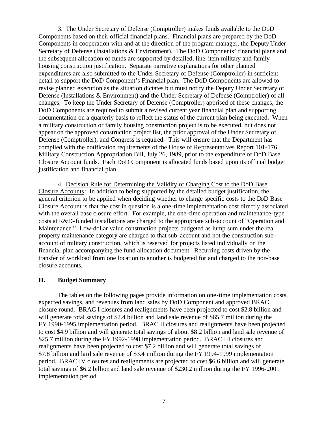3. The Under Secretary of Defense (Comptroller) makes funds available to the DoD Components based on their official financial plans. Financial plans are prepared by the DoD Components in cooperation with and at the direction of the program manager, the Deputy Under Secretary of Defense (Installations & Environment). The DoD Components' financial plans and the subsequent allocation of funds are supported by detailed, line-item military and family housing construction justification. Separate narrative explanations for other planned expenditures are also submitted to the Under Secretary of Defense (Comptroller) in sufficient detail to support the DoD Component's Financial plan. The DoD Components are allowed to revise planned execution as the situation dictates but must notify the Deputy Under Secretary of Defense (Installations & Environment) and the Under Secretary of Defense (Comptroller) of all changes. To keep the Under Secretary of Defense (Comptroller) apprised of these changes, the DoD Components are required to submit a revised current year financial plan and supporting documentation on a quarterly basis to reflect the status of the current plan being executed. When a military construction or family housing construction project is to be executed, but does not appear on the approved construction project list, the prior approval of the Under Secretary of Defense (Comptroller), and Congress is required. This will ensure that the Department has complied with the notification requirements of the House of Representatives Report 101-176, Military Construction Appropriation Bill, July 26, 1989, prior to the expenditure of DoD Base Closure Account funds. Each DoD Component is allocated funds based upon its official budget justification and financial plan.

4. Decision Rule for Determining the Validity of Charging Cost to the DoD Base Closure Accounts: In addition to being supported by the detailed budget justification, the general criterion to be applied when deciding whether to charge specific costs to the DoD Base Closure Account is that the cost in question is a one-time implementation cost directly associated with the overall base closure effort. For example, the one-time operation and maintenance-type costs at R&D-funded installations are charged to the appropriate sub-account of "Operation and Maintenance." Low-dollar value construction projects budgeted as lump sum under the real property maintenance category are charged to that sub-account and not the construction subaccount of military construction, which is reserved for projects listed individually on the financial plan accompanying the fund allocation document. Recurring costs driven by the transfer of workload from one location to another is budgeted for and charged to the non-base closure accounts.

#### **II. Budget Summary**

The tables on the following pages provide information on one-time implementation costs, expected savings, and revenues from land sales by DoD Component and approved BRAC closure round. BRAC I closures and realignments have been projected to cost \$2.8 billion and will generate total savings of \$2.4 billion and land sale revenue of \$65.7 million during the FY 1990-1995 implementation period. BRAC II closures and realignments have been projected to cost \$4.9 billion and will generate total savings of about \$8.2 billion and land sale revenue of \$25.7 million during the FY 1992-1998 implementation period. BRAC III closures and realignments have been projected to cost \$7.2 billion and will generate total savings of \$7.8 billion and land sale revenue of \$3.4 million during the FY 1994-1999 implementation period. BRAC IV closures and realignments are projected to cost \$6.6 billion and will generate total savings of \$6.2 billion and land sale revenue of \$230.2 million during the FY 1996-2001 implementation period.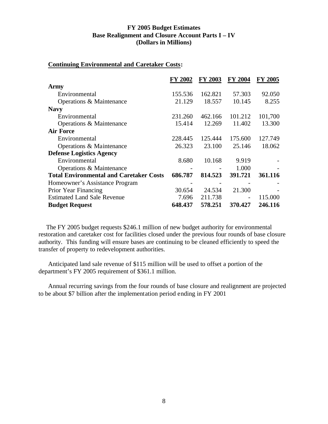#### **FY 2005 Budget Estimates Base Realignment and Closure Account Parts I – IV (Dollars in Millions)**

#### **Continuing Environmental and Caretaker Costs:**

|                                                | FY 2002 | <b>FY 2003</b> | FY 2004 | FY 2005 |
|------------------------------------------------|---------|----------------|---------|---------|
| Army                                           |         |                |         |         |
| Environmental                                  | 155.536 | 162.821        | 57.303  | 92.050  |
| Operations & Maintenance                       | 21.129  | 18.557         | 10.145  | 8.255   |
| <b>Navy</b>                                    |         |                |         |         |
| Environmental                                  | 231.260 | 462.166        | 101.212 | 101,700 |
| Operations & Maintenance                       | 15.414  | 12.269         | 11.402  | 13.300  |
| <b>Air Force</b>                               |         |                |         |         |
| Environmental                                  | 228.445 | 125.444        | 175.600 | 127.749 |
| Operations & Maintenance                       | 26.323  | 23.100         | 25.146  | 18.062  |
| <b>Defense Logistics Agency</b>                |         |                |         |         |
| Environmental                                  | 8.680   | 10.168         | 9.919   |         |
| Operations & Maintenance                       |         |                | 1.000   |         |
| <b>Total Environmental and Caretaker Costs</b> | 686.787 | 814.523        | 391.721 | 361.116 |
| Homeowner's Assistance Program                 |         |                |         |         |
| Prior Year Financing                           | 30.654  | 24.534         | 21.300  |         |
| <b>Estimated Land Sale Revenue</b>             | 7.696   | 211.738        |         | 115.000 |
| <b>Budget Request</b>                          | 648.437 | 578.251        | 370.427 | 246.116 |

The FY 2005 budget requests \$246.1 million of new budget authority for environmental restoration and caretaker cost for facilities closed under the previous four rounds of base closure authority. This funding will ensure bases are continuing to be cleaned efficiently to speed the transfer of property to redevelopment authorities.

Anticipated land sale revenue of \$115 million will be used to offset a portion of the department's FY 2005 requirement of \$361.1 million.

Annual recurring savings from the four rounds of base closure and realignment are projected to be about \$7 billion after the implementation period ending in FY 2001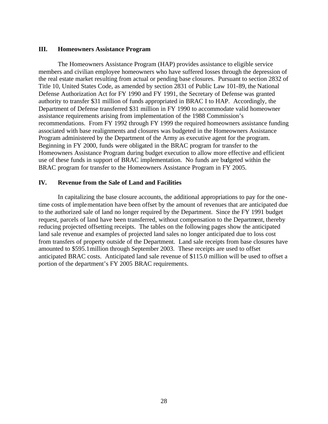#### **III. Homeowners Assistance Program**

The Homeowners Assistance Program (HAP) provides assistance to eligible service members and civilian employee homeowners who have suffered losses through the depression of the real estate market resulting from actual or pending base closures. Pursuant to section 2832 of Title 10, United States Code, as amended by section 2831 of Public Law 101-89, the National Defense Authorization Act for FY 1990 and FY 1991, the Secretary of Defense was granted authority to transfer \$31 million of funds appropriated in BRAC I to HAP. Accordingly, the Department of Defense transferred \$31 million in FY 1990 to accommodate valid homeowner assistance requirements arising from implementation of the 1988 Commission's recommendations. From FY 1992 through FY 1999 the required homeowners assistance funding associated with base realignments and closures was budgeted in the Homeowners Assistance Program administered by the Department of the Army as executive agent for the program. Beginning in FY 2000, funds were obligated in the BRAC program for transfer to the Homeowners Assistance Program during budget execution to allow more effective and efficient use of these funds in support of BRAC implementation. No funds are budgeted within the BRAC program for transfer to the Homeowners Assistance Program in FY 2005.

#### **IV. Revenue from the Sale of Land and Facilities**

In capitalizing the base closure accounts, the additional appropriations to pay for the onetime costs of implementation have been offset by the amount of revenues that are anticipated due to the authorized sale of land no longer required by the Department. Since the FY 1991 budget request, parcels of land have been transferred, without compensation to the Department, thereby reducing projected offsetting receipts. The tables on the following pages show the anticipated land sale revenue and examples of projected land sales no longer anticipated due to loss cost from transfers of property outside of the Department. Land sale receipts from base closures have amounted to \$595.1million through September 2003. These receipts are used to offset anticipated BRAC costs. Anticipated land sale revenue of \$115.0 million will be used to offset a portion of the department's FY 2005 BRAC requirements.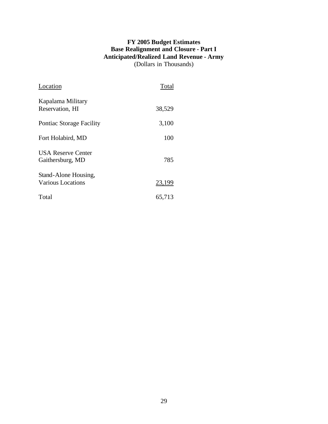# **FY 2005 Budget Estimates Base Realignment and Closure - Part I Anticipated/Realized Land Revenue - Army** (Dollars in Thousands)

| Location                                         | Total  |
|--------------------------------------------------|--------|
| Kapalama Military<br>Reservation, HI             | 38,529 |
| <b>Pontiac Storage Facility</b>                  | 3,100  |
| Fort Holabird, MD                                | 100    |
| <b>USA Reserve Center</b><br>Gaithersburg, MD    | 785    |
| Stand-Alone Housing,<br><b>Various Locations</b> | 23,199 |
| Total                                            | 65,713 |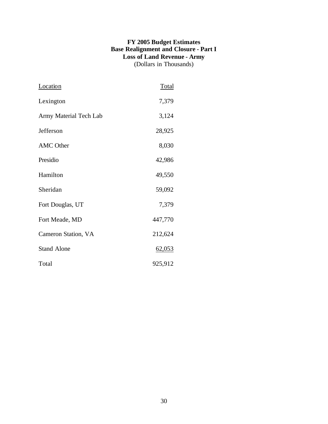# **FY 2005 Budget Estimates Base Realignment and Closure - Part I Loss of Land Revenue - Army** (Dollars in Thousands)

| <b>Location</b>        | <b>Total</b> |
|------------------------|--------------|
| Lexington              | 7,379        |
| Army Material Tech Lab | 3,124        |
| Jefferson              | 28,925       |
| <b>AMC</b> Other       | 8,030        |
| Presidio               | 42,986       |
| Hamilton               | 49,550       |
| Sheridan               | 59,092       |
| Fort Douglas, UT       | 7,379        |
| Fort Meade, MD         | 447,770      |
| Cameron Station, VA    | 212,624      |
| <b>Stand Alone</b>     | 62,053       |
| Total                  | 925,912      |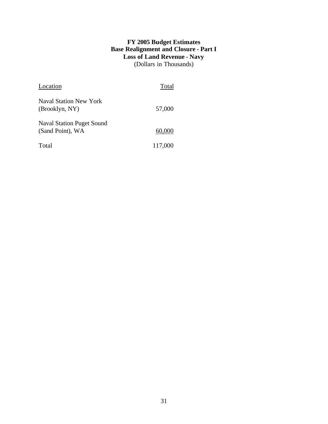# **FY 2005 Budget Estimates Base Realignment and Closure - Part I Loss of Land Revenue - Navy** (Dollars in Thousands)

| Location                                             | Total   |
|------------------------------------------------------|---------|
| Naval Station New York<br>(Brooklyn, NY)             | 57,000  |
| <b>Naval Station Puget Sound</b><br>(Sand Point), WA | 60,000  |
| Total                                                | 117,000 |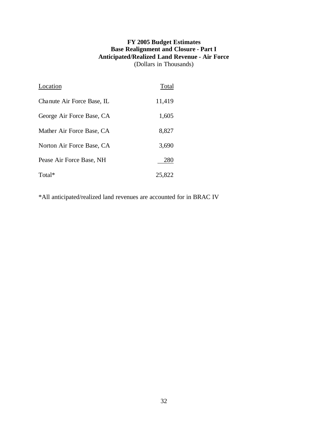# **FY 2005 Budget Estimates Base Realignment and Closure - Part I Anticipated/Realized Land Revenue - Air Force** (Dollars in Thousands)

| Location                   | Total  |
|----------------------------|--------|
| Chanute Air Force Base, IL | 11,419 |
| George Air Force Base, CA  | 1,605  |
| Mather Air Force Base, CA  | 8,827  |
| Norton Air Force Base, CA  | 3,690  |
| Pease Air Force Base, NH   | 280    |
| Total*                     | 25,822 |

\*All anticipated/realized land revenues are accounted for in BRAC IV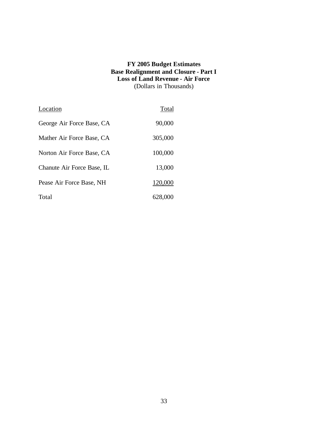#### **FY 2005 Budget Estimates Base Realignment and Closure - Part I Loss of Land Revenue - Air Force** (Dollars in Thousands)

| Location                   | Total   |
|----------------------------|---------|
| George Air Force Base, CA  | 90,000  |
| Mather Air Force Base, CA  | 305,000 |
| Norton Air Force Base, CA  | 100,000 |
| Chanute Air Force Base, IL | 13,000  |
| Pease Air Force Base, NH   | 120,000 |
| Total                      | 628,000 |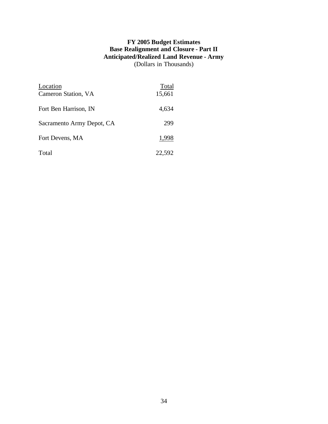# **FY 2005 Budget Estimates Base Realignment and Closure - Part II Anticipated/Realized Land Revenue - Army** (Dollars in Thousands)

| Location<br>Cameron Station, VA | Total<br>15,661 |
|---------------------------------|-----------------|
| Fort Ben Harrison, IN           | 4,634           |
| Sacramento Army Depot, CA       | 299             |
| Fort Devens, MA                 | 1,998           |
| Total                           | 22,592          |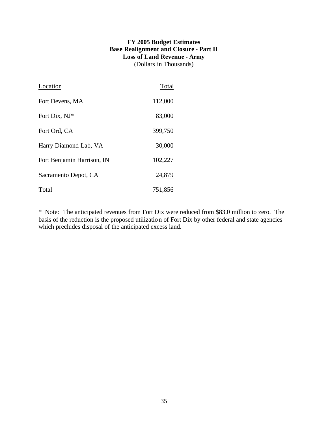# **FY 2005 Budget Estimates Base Realignment and Closure - Part II Loss of Land Revenue - Army** (Dollars in Thousands)

| Location                   | Total   |
|----------------------------|---------|
| Fort Devens, MA            | 112,000 |
| Fort Dix, NJ*              | 83,000  |
| Fort Ord, CA               | 399,750 |
| Harry Diamond Lab, VA      | 30,000  |
| Fort Benjamin Harrison, IN | 102,227 |
| Sacramento Depot, CA       | 24,879  |
| Total                      | 751,856 |

\* Note: The anticipated revenues from Fort Dix were reduced from \$83.0 million to zero. The basis of the reduction is the proposed utilization of Fort Dix by other federal and state agencies which precludes disposal of the anticipated excess land.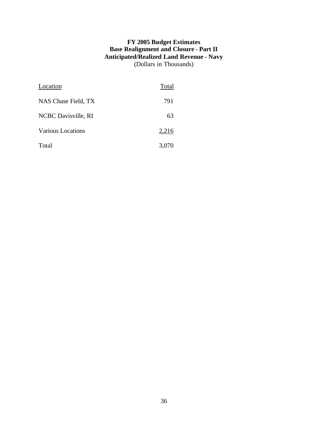# **FY 2005 Budget Estimates Base Realignment and Closure - Part II Anticipated/Realized Land Revenue - Navy** (Dollars in Thousands)

| Location                 | Total |
|--------------------------|-------|
| NAS Chase Field, TX      | 791   |
| NCBC Davisville, RI      | 63    |
| <b>Various Locations</b> | 2,216 |
| Total                    | 3,070 |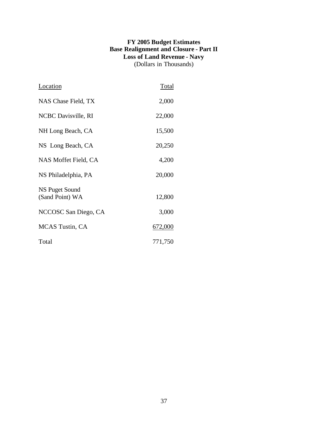# **FY 2005 Budget Estimates Base Realignment and Closure - Part II Loss of Land Revenue - Navy** (Dollars in Thousands)

| Location                          | Total   |
|-----------------------------------|---------|
| NAS Chase Field, TX               | 2,000   |
| NCBC Davisville, RI               | 22,000  |
| NH Long Beach, CA                 | 15,500  |
| NS Long Beach, CA                 | 20,250  |
| NAS Moffet Field, CA              | 4,200   |
| NS Philadelphia, PA               | 20,000  |
| NS Puget Sound<br>(Sand Point) WA | 12,800  |
| NCCOSC San Diego, CA              | 3,000   |
| <b>MCAS</b> Tustin, CA            | 672,000 |
| Total                             | 771,750 |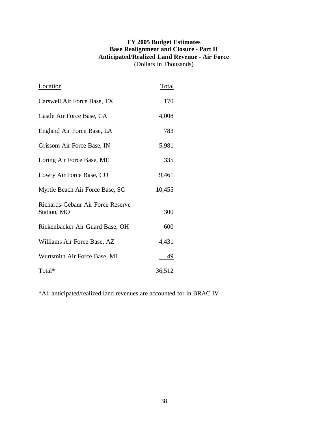# **FY 2005 Budget Estimates Base Realignment and Closure - Part II Anticipated/Realized Land Revenue - Air Force** (Dollars in Thousands)

| Location                                         | Total  |
|--------------------------------------------------|--------|
| Carswell Air Force Base, TX                      | 170    |
| Castle Air Force Base, CA                        | 4,008  |
| England Air Force Base, LA                       | 783    |
| Grissom Air Force Base, IN                       | 5,981  |
| Loring Air Force Base, ME                        | 335    |
| Lowry Air Force Base, CO                         | 9,461  |
| Myrtle Beach Air Force Base, SC                  | 10,455 |
| Richards-Gebaur Air Force Reserve<br>Station, MO | 300    |
| Rickenbacker Air Guard Base, OH                  | 600    |
| Williams Air Force Base, AZ                      | 4,431  |
| Wurtsmith Air Force Base, MI                     | 49     |
| Total*                                           | 36,512 |

\*All anticipated/realized land revenues are accounted for in BRAC IV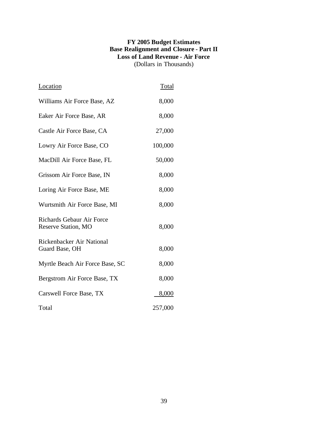# **FY 2005 Budget Estimates Base Realignment and Closure - Part II Loss of Land Revenue - Air Force** (Dollars in Thousands)

| Location                                                | Total   |
|---------------------------------------------------------|---------|
| Williams Air Force Base, AZ                             | 8,000   |
| Eaker Air Force Base, AR                                | 8,000   |
| Castle Air Force Base, CA                               | 27,000  |
| Lowry Air Force Base, CO                                | 100,000 |
| MacDill Air Force Base, FL                              | 50,000  |
| Grissom Air Force Base, IN                              | 8,000   |
| Loring Air Force Base, ME                               | 8,000   |
| Wurtsmith Air Force Base, MI                            | 8,000   |
| <b>Richards Gebaur Air Force</b><br>Reserve Station, MO | 8,000   |
| Rickenbacker Air National<br>Guard Base, OH             | 8,000   |
| Myrtle Beach Air Force Base, SC                         | 8,000   |
| Bergstrom Air Force Base, TX                            | 8,000   |
| Carswell Force Base, TX                                 | 8,000   |
| Total                                                   | 257,000 |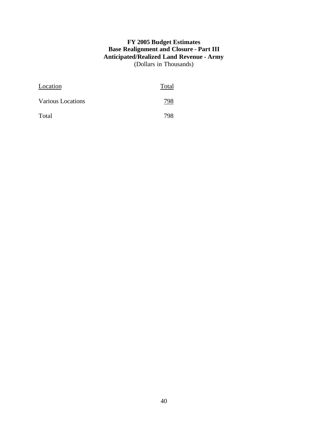# **FY 2005 Budget Estimates Base Realignment and Closure - Part III Anticipated/Realized Land Revenue - Army** (Dollars in Thousands)

| Location          | Total |
|-------------------|-------|
| Various Locations | 798   |
| Total             | 798   |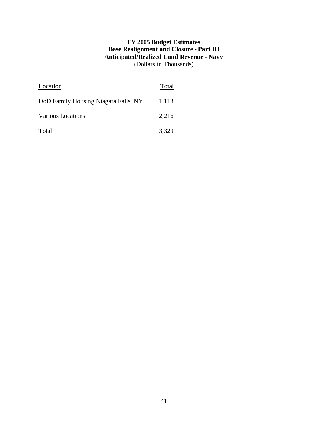# **FY 2005 Budget Estimates Base Realignment and Closure - Part III Anticipated/Realized Land Revenue - Navy** (Dollars in Thousands)

| Location                             | Total |
|--------------------------------------|-------|
| DoD Family Housing Niagara Falls, NY | 1,113 |
| Various Locations                    | 2,216 |
| Total                                | 3,329 |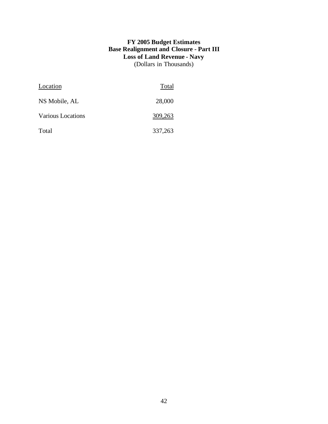# **FY 2005 Budget Estimates Base Realignment and Closure - Part III Loss of Land Revenue - Navy** (Dollars in Thousands)

| Location          | Total   |
|-------------------|---------|
| NS Mobile, AL     | 28,000  |
| Various Locations | 309,263 |
| Total             | 337,263 |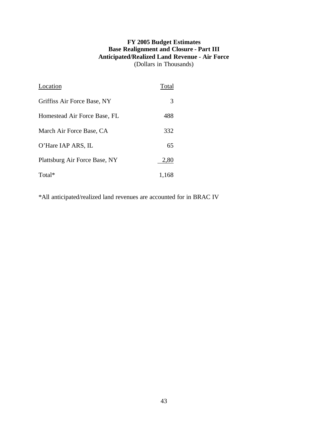# **FY 2005 Budget Estimates Base Realignment and Closure - Part III Anticipated/Realized Land Revenue - Air Force** (Dollars in Thousands)

| Location                      | Total |
|-------------------------------|-------|
| Griffiss Air Force Base, NY   | 3     |
| Homestead Air Force Base, FL  | 488   |
| March Air Force Base, CA      | 332   |
| O'Hare IAP ARS, IL            | 65    |
| Plattsburg Air Force Base, NY | 2,80  |
| Total*                        | 1,168 |

\*All anticipated/realized land revenues are accounted for in BRAC IV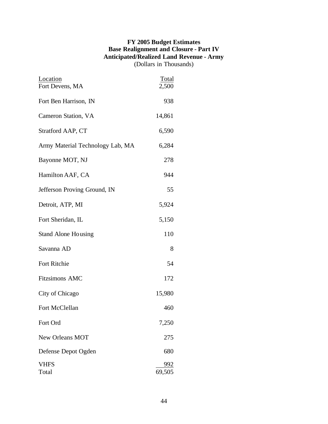# **FY 2005 Budget Estimates Base Realignment and Closure - Part IV Anticipated/Realized Land Revenue - Army** (Dollars in Thousands)

| Location<br>Fort Devens, MA      | <b>Total</b><br>2,500 |
|----------------------------------|-----------------------|
| Fort Ben Harrison, IN            | 938                   |
| Cameron Station, VA              | 14,861                |
| Stratford AAP, CT                | 6,590                 |
| Army Material Technology Lab, MA | 6,284                 |
| Bayonne MOT, NJ                  | 278                   |
| Hamilton AAF, CA                 | 944                   |
| Jefferson Proving Ground, IN     | 55                    |
| Detroit, ATP, MI                 | 5,924                 |
| Fort Sheridan, IL                | 5,150                 |
| <b>Stand Alone Housing</b>       | 110                   |
| Savanna AD                       | 8                     |
| Fort Ritchie                     | 54                    |
| <b>Fitzsimons AMC</b>            | 172                   |
| City of Chicago                  | 15,980                |
| Fort McClellan                   | 460                   |
| Fort Ord                         | 7,250                 |
| <b>New Orleans MOT</b>           | 275                   |
| Defense Depot Ogden              | 680                   |
| <b>VHFS</b><br>Total             | 992<br>69,505         |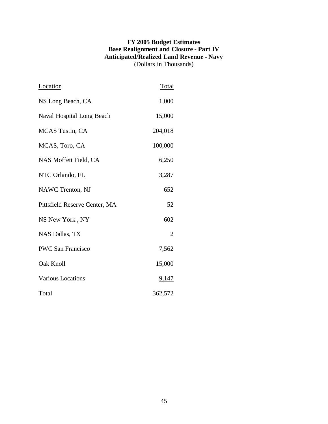# **FY 2005 Budget Estimates Base Realignment and Closure - Part IV Anticipated/Realized Land Revenue - Navy** (Dollars in Thousands)

| Location                      | <b>Total</b>   |
|-------------------------------|----------------|
| NS Long Beach, CA             | 1,000          |
| Naval Hospital Long Beach     | 15,000         |
| <b>MCAS</b> Tustin, CA        | 204,018        |
| MCAS, Toro, CA                | 100,000        |
| NAS Moffett Field, CA         | 6,250          |
| NTC Orlando, FL               | 3,287          |
| <b>NAWC Trenton, NJ</b>       | 652            |
| Pittsfield Reserve Center, MA | 52             |
| NS New York, NY               | 602            |
| NAS Dallas, TX                | $\overline{2}$ |
| <b>PWC San Francisco</b>      | 7,562          |
| Oak Knoll                     | 15,000         |
| Various Locations             | <u>9,147</u>   |
| Total                         | 362,572        |